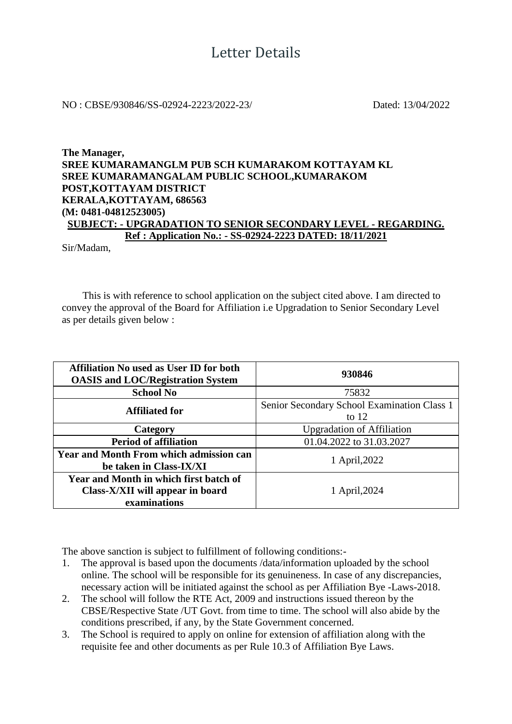## NO : CBSE/930846/SS-02924-2223/2022-23/ Dated: 13/04/2022

## **The Manager, SREE KUMARAMANGLM PUB SCH KUMARAKOM KOTTAYAM KL SREE KUMARAMANGALAM PUBLIC SCHOOL,KUMARAKOM POST,KOTTAYAM DISTRICT KERALA,KOTTAYAM, 686563 (M: 0481-04812523005) SUBJECT: - UPGRADATION TO SENIOR SECONDARY LEVEL - REGARDING. Ref : Application No.: - SS-02924-2223 DATED: 18/11/2021**

Sir/Madam,

 This is with reference to school application on the subject cited above. I am directed to convey the approval of the Board for Affiliation i.e Upgradation to Senior Secondary Level as per details given below :

| <b>Affiliation No used as User ID for both</b><br><b>OASIS and LOC/Registration System</b> | 930846                                                 |  |  |
|--------------------------------------------------------------------------------------------|--------------------------------------------------------|--|--|
| <b>School No</b>                                                                           | 75832                                                  |  |  |
| <b>Affiliated for</b>                                                                      | Senior Secondary School Examination Class 1<br>to $12$ |  |  |
| Category                                                                                   | <b>Upgradation of Affiliation</b>                      |  |  |
| <b>Period of affiliation</b>                                                               | 01.04.2022 to 31.03.2027                               |  |  |
| <b>Year and Month From which admission can</b><br>be taken in Class-IX/XI                  | 1 April, 2022                                          |  |  |
| Year and Month in which first batch of<br>Class-X/XII will appear in board<br>examinations | 1 April, 2024                                          |  |  |

The above sanction is subject to fulfillment of following conditions:-

- 1. The approval is based upon the documents /data/information uploaded by the school online. The school will be responsible for its genuineness. In case of any discrepancies, necessary action will be initiated against the school as per Affiliation Bye -Laws-2018.
- 2. The school will follow the RTE Act, 2009 and instructions issued thereon by the CBSE/Respective State /UT Govt. from time to time. The school will also abide by the conditions prescribed, if any, by the State Government concerned.
- 3. The School is required to apply on online for extension of affiliation along with the requisite fee and other documents as per Rule 10.3 of Affiliation Bye Laws.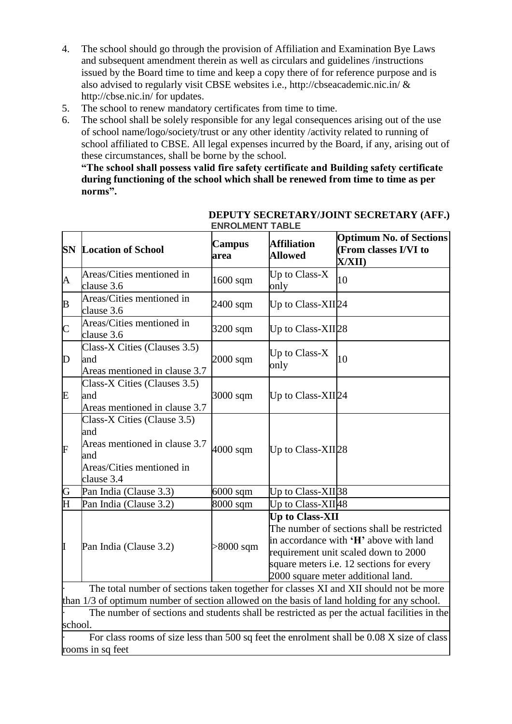- 4. The school should go through the provision of Affiliation and Examination Bye Laws and subsequent amendment therein as well as circulars and guidelines /instructions issued by the Board time to time and keep a copy there of for reference purpose and is also advised to regularly visit CBSE websites i.e., http://cbseacademic.nic.in/ & http://cbse.nic.in/ for updates.
- 5. The school to renew mandatory certificates from time to time.
- 6. The school shall be solely responsible for any legal consequences arising out of the use of school name/logo/society/trust or any other identity /activity related to running of school affiliated to CBSE. All legal expenses incurred by the Board, if any, arising out of these circumstances, shall be borne by the school.

**"The school shall possess valid fire safety certificate and Building safety certificate during functioning of the school which shall be renewed from time to time as per norms".**

| <b>SN</b>               | <b>Location of School</b>                                                                                             | <b>Campus</b><br>area | <b>Affiliation</b><br><b>Allowed</b> | <b>Optimum No. of Sections</b><br>(From classes I/VI to<br>X/XII)                                                                                                                                              |  |  |
|-------------------------|-----------------------------------------------------------------------------------------------------------------------|-----------------------|--------------------------------------|----------------------------------------------------------------------------------------------------------------------------------------------------------------------------------------------------------------|--|--|
| A                       | Areas/Cities mentioned in<br>clause 3.6                                                                               | 1600 sqm              | Up to Class-X<br>only                | 10                                                                                                                                                                                                             |  |  |
| B                       | Areas/Cities mentioned in<br>clause 3.6                                                                               | 2400 sqm              | Up to Class-XII24                    |                                                                                                                                                                                                                |  |  |
| $\mathsf{C}$            | Areas/Cities mentioned in<br>clause 3.6                                                                               | 3200 sqm              | Up to Class-XII28                    |                                                                                                                                                                                                                |  |  |
| D                       | Class-X Cities (Clauses 3.5)<br>and<br>Areas mentioned in clause 3.7                                                  | $2000$ sqm            | Up to Class-X<br>only                | 10                                                                                                                                                                                                             |  |  |
| Ε                       | Class-X Cities (Clauses 3.5)<br>and<br>Areas mentioned in clause 3.7                                                  | $3000$ sqm            | Up to Class-XII24                    |                                                                                                                                                                                                                |  |  |
| F                       | Class-X Cities (Clause 3.5)<br>and<br>Areas mentioned in clause 3.7<br>and<br>Areas/Cities mentioned in<br>clause 3.4 | 4000 sqm              | Up to Class-XII28                    |                                                                                                                                                                                                                |  |  |
| G                       | Pan India (Clause 3.3)                                                                                                | $6000$ sqm            | Up to Class-XII <sub>38</sub>        |                                                                                                                                                                                                                |  |  |
| $\overline{\mathrm{H}}$ | Pan India (Clause 3.2)                                                                                                | 8000 sqm              | Up to Class-XII48                    |                                                                                                                                                                                                                |  |  |
| I                       | Pan India (Clause 3.2)                                                                                                | $>8000$ sqm           | <b>Up to Class-XII</b>               | The number of sections shall be restricted<br>in accordance with 'H' above with land<br>requirement unit scaled down to 2000<br>square meters i.e. 12 sections for every<br>2000 square meter additional land. |  |  |
|                         | The total number of sections taken together for classes XI and XII should not be more                                 |                       |                                      |                                                                                                                                                                                                                |  |  |
|                         | than 1/3 of optimum number of section allowed on the basis of land holding for any school.                            |                       |                                      |                                                                                                                                                                                                                |  |  |

## **DEPUTY SECRETARY/JOINT SECRETARY (AFF.) ENROLMENT TABLE**

The number of sections and students shall be restricted as per the actual facilities in the school.

For class rooms of size less than 500 sq feet the enrolment shall be 0.08 X size of class rooms in sq feet